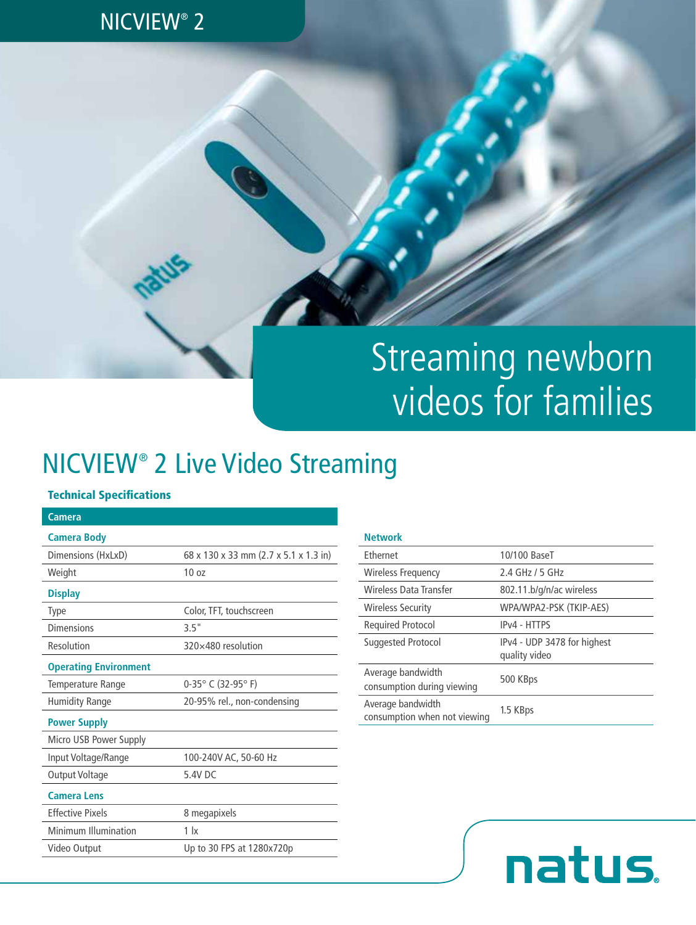### NICVIEW® 2

# Streaming newborn videos for families

# NICVIEW® 2 Live Video Streaming

#### Technical Specifications

| Camera                       |                                       |
|------------------------------|---------------------------------------|
| <b>Camera Body</b>           |                                       |
| Dimensions (HxLxD)           | 68 x 130 x 33 mm (2.7 x 5.1 x 1.3 in) |
| Weight                       | 10 <sub>07</sub>                      |
| <b>Display</b>               |                                       |
| <b>Type</b>                  | Color, TFT, touchscreen               |
| Dimensions                   | 3.5"                                  |
| Resolution                   | 320×480 resolution                    |
| <b>Operating Environment</b> |                                       |
| Temperature Range            | $0-35^{\circ}$ C (32-95°F)            |
| <b>Humidity Range</b>        | 20-95% rel., non-condensing           |
| <b>Power Supply</b>          |                                       |
| Micro USB Power Supply       |                                       |
| Input Voltage/Range          | 100-240V AC, 50-60 Hz                 |
| Output Voltage               | 5.4V DC                               |
| <b>Camera Lens</b>           |                                       |
| <b>Effective Pixels</b>      | 8 megapixels                          |
| Minimum Illumination         | 1 <sub>x</sub>                        |
| Video Output                 | Up to 30 FPS at 1280x720p             |
|                              |                                       |

#### **Network**

| <b>Fthernet</b>                                   | 10/100 BaseT                                 |
|---------------------------------------------------|----------------------------------------------|
| Wireless Frequency                                | 2.4 GHz / 5 GHz                              |
| Wireless Data Transfer                            | 802.11.b/g/n/ac wireless                     |
| <b>Wireless Security</b>                          | WPA/WPA2-PSK (TKIP-AES)                      |
| <b>Required Protocol</b>                          | IP <sub>v</sub> 4 - HTTPS                    |
| Suggested Protocol                                | IPv4 - UDP 3478 for highest<br>quality video |
| Average bandwidth<br>consumption during viewing   | 500 KBps                                     |
| Average bandwidth<br>consumption when not viewing | 1.5 KBps                                     |

natus.